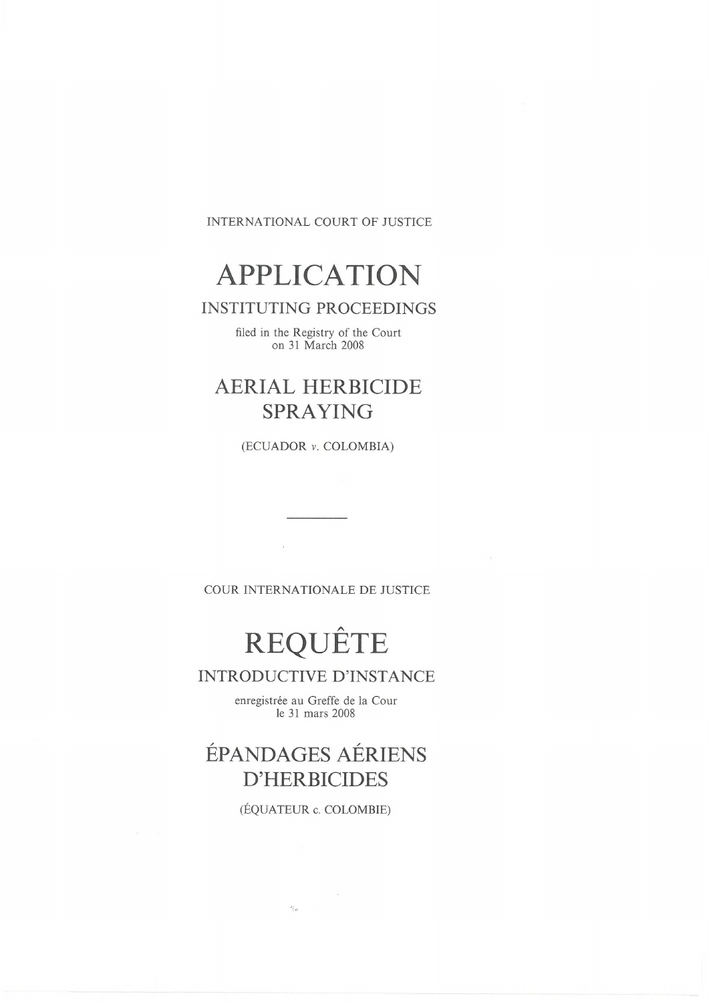INTERNATIONAL COURT OF JUSTICE

# **APPLICATION**

### **INSTITUTING PROCEEDINGS**

filed in the Registry of the Court on 31 March 2008

## **AERIAL HERBICIDE SPRAYING**

(ECUADOR v. COLOMBIA)

COUR INTERNATIONALE DE JUSTICE

 $\alpha$ 

# REQUÊTE

### **INTRODUCTIVE D'INSTANCE**

enregistrée au Greffe de la Cour le 31 mars 2008

## ÉPANDAGES AÉRIENS **D'HERBICIDES**

(ÉQUATEUR c. COLOMBIE)

 $\frac{4\pi}{3} \frac{1}{90}$  .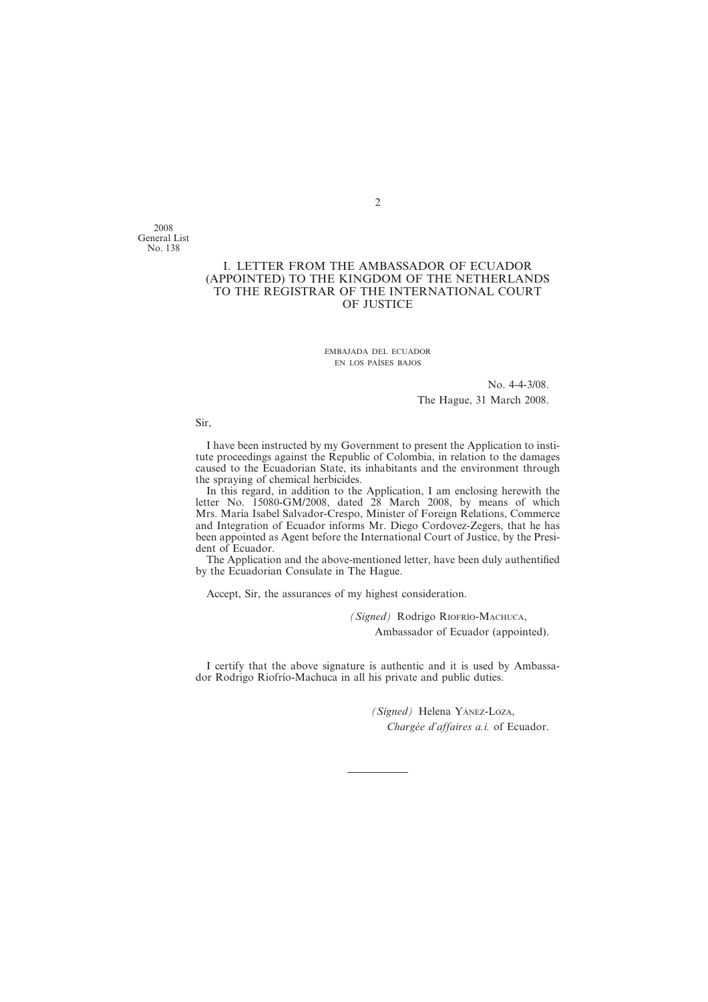2008 General List No. 138

#### I. LETTER FROM THE AMBASSADOR OF ECUADOR (APPOINTED) TO THE KINGDOM OF THE NETHERLANDS TO THE REGISTRAR OF THE INTERNATIONAL COURT OF JUSTICE

EMBAJADA DEL ECUADOR EN LOS PAÍSES BAJOS

> No. 4-4-3/08. The Hague, 31 March 2008.

Sir,

I have been instructed by my Government to present the Application to institute proceedings against the Republic of Colombia, in relation to the damages caused to the Ecuadorian State, its inhabitants and the environment through the spraying of chemical herbicides.

In this regard, in addition to the Application, I am enclosing herewith the letter No. 15080-GM/2008, dated 28 March 2008, by means of which Mrs. María Isabel Salvador-Crespo, Minister of Foreign Relations, Commerce and Integration of Ecuador informs Mr. Diego Cordovez-Zegers, that he has been appointed as Agent before the International Court of Justice, by the President of Ecuador.

The Application and the above-mentioned letter, have been duly authentified by the Ecuadorian Consulate in The Hague.

Accept, Sir, the assurances of my highest consideration.

*(Signed)* Rodrigo RIOFRÍO-MACHUCA, Ambassador of Ecuador (appointed).

I certify that the above signature is authentic and it is used by Ambassador Rodrigo Riofrío-Machuca in all his private and public duties.

> *(Signed)* Helena YÁNEZ-LOZA, *Chargée d'affaires a.i.* of Ecuador.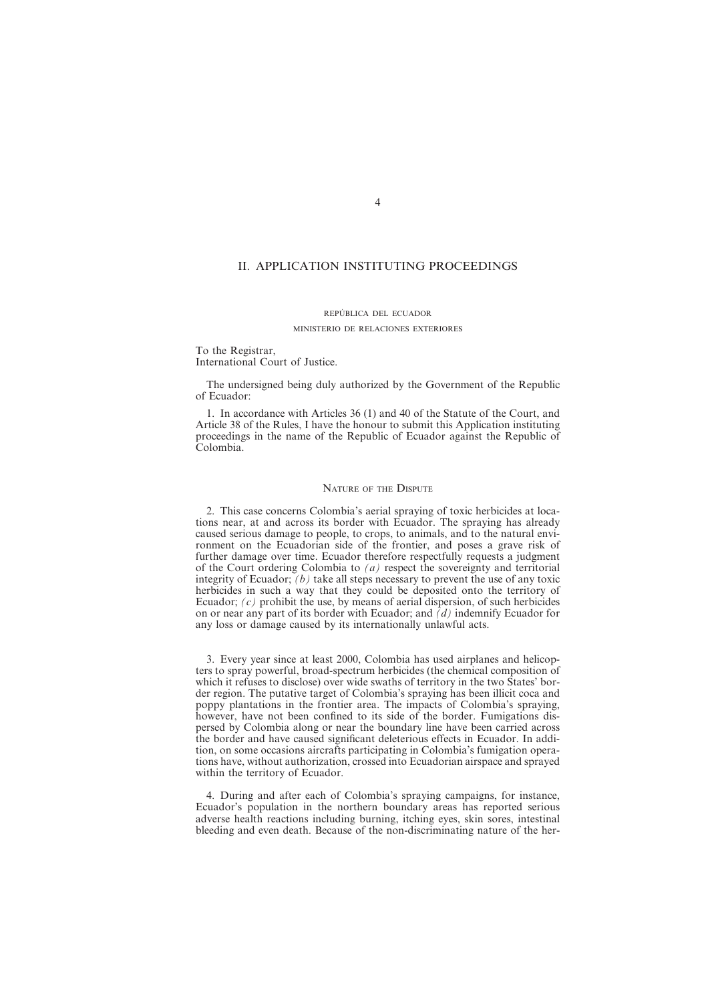#### II. APPLICATION INSTITUTING PROCEEDINGS

#### REPÚBLICA DEL ECUADOR

#### MINISTERIO DE RELACIONES EXTERIORES

To the Registrar, International Court of Justice.

The undersigned being duly authorized by the Government of the Republic of Ecuador:

1. In accordance with Articles 36 (1) and 40 of the Statute of the Court, and Article 38 of the Rules, I have the honour to submit this Application instituting proceedings in the name of the Republic of Ecuador against the Republic of Colombia.

#### NATURE OF THE DISPUTE

2. This case concerns Colombia's aerial spraying of toxic herbicides at locations near, at and across its border with Ecuador. The spraying has already caused serious damage to people, to crops, to animals, and to the natural environment on the Ecuadorian side of the frontier, and poses a grave risk of further damage over time. Ecuador therefore respectfully requests a judgment of the Court ordering Colombia to *(a)* respect the sovereignty and territorial integrity of Ecuador; *(b)* take all steps necessary to prevent the use of any toxic herbicides in such a way that they could be deposited onto the territory of Ecuador; *(c)* prohibit the use, by means of aerial dispersion, of such herbicides on or near any part of its border with Ecuador; and *(d)* indemnify Ecuador for any loss or damage caused by its internationally unlawful acts.

3. Every year since at least 2000, Colombia has used airplanes and helicopters to spray powerful, broad-spectrum herbicides (the chemical composition of which it refuses to disclose) over wide swaths of territory in the two States' border region. The putative target of Colombia's spraying has been illicit coca and poppy plantations in the frontier area. The impacts of Colombia's spraying, however, have not been confined to its side of the border. Fumigations dispersed by Colombia along or near the boundary line have been carried across the border and have caused significant deleterious effects in Ecuador. In addition, on some occasions aircrafts participating in Colombia's fumigation operations have, without authorization, crossed into Ecuadorian airspace and sprayed within the territory of Ecuador.

4. During and after each of Colombia's spraying campaigns, for instance, Ecuador's population in the northern boundary areas has reported serious adverse health reactions including burning, itching eyes, skin sores, intestinal bleeding and even death. Because of the non-discriminating nature of the her-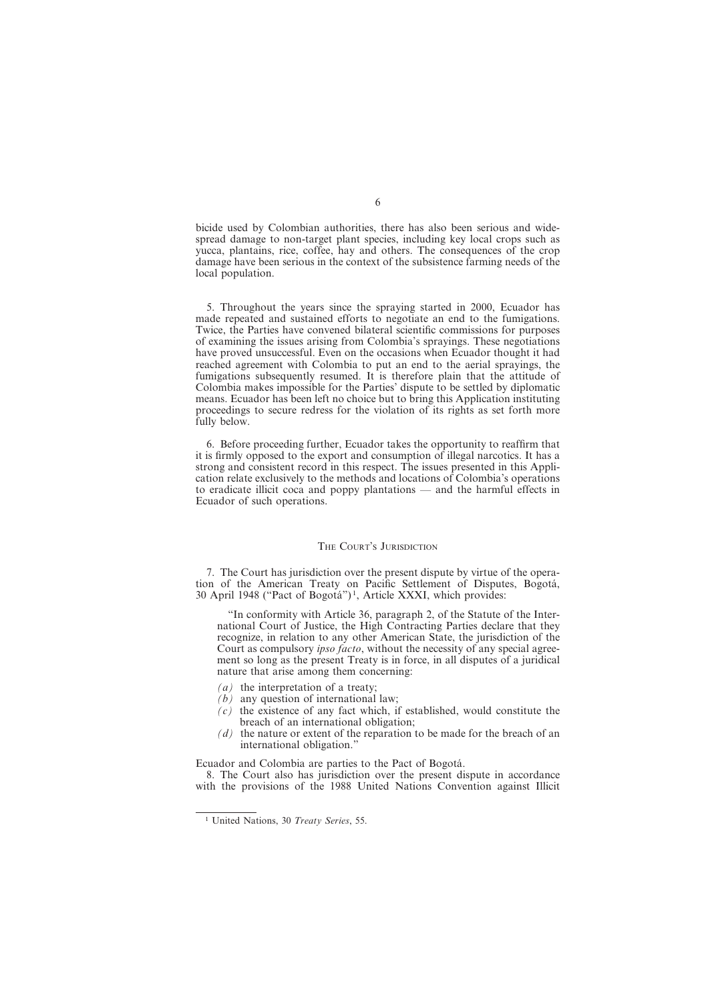bicide used by Colombian authorities, there has also been serious and widespread damage to non-target plant species, including key local crops such as yucca, plantains, rice, coffee, hay and others. The consequences of the crop damage have been serious in the context of the subsistence farming needs of the local population.

5. Throughout the years since the spraying started in 2000, Ecuador has made repeated and sustained efforts to negotiate an end to the fumigations. Twice, the Parties have convened bilateral scientific commissions for purposes of examining the issues arising from Colombia's sprayings. These negotiations have proved unsuccessful. Even on the occasions when Ecuador thought it had reached agreement with Colombia to put an end to the aerial sprayings, the fumigations subsequently resumed. It is therefore plain that the attitude of Colombia makes impossible for the Parties' dispute to be settled by diplomatic means. Ecuador has been left no choice but to bring this Application instituting proceedings to secure redress for the violation of its rights as set forth more fully below.

6. Before proceeding further, Ecuador takes the opportunity to reaffirm that it is firmly opposed to the export and consumption of illegal narcotics. It has a strong and consistent record in this respect. The issues presented in this Application relate exclusively to the methods and locations of Colombia's operations to eradicate illicit coca and poppy plantations — and the harmful effects in Ecuador of such operations.

#### THE COURT'S JURISDICTION

7. The Court has jurisdiction over the present dispute by virtue of the operation of the American Treaty on Pacific Settlement of Disputes, Bogotá, 30 April 1948 ("Pact of Bogotá") <sup>1</sup> , Article XXXI, which provides:

"In conformity with Article 36, paragraph 2, of the Statute of the International Court of Justice, the High Contracting Parties declare that they recognize, in relation to any other American State, the jurisdiction of the Court as compulsory *ipso facto*, without the necessity of any special agreement so long as the present Treaty is in force, in all disputes of a juridical nature that arise among them concerning:

*(a)* the interpretation of a treaty;

- *(b)* any question of international law;
- *(c)* the existence of any fact which, if established, would constitute the breach of an international obligation;
- *(d)* the nature or extent of the reparation to be made for the breach of an international obligation."

Ecuador and Colombia are parties to the Pact of Bogotá.

8. The Court also has jurisdiction over the present dispute in accordance with the provisions of the 1988 United Nations Convention against Illicit

<sup>1</sup> United Nations, 30 *Treaty Series*, 55.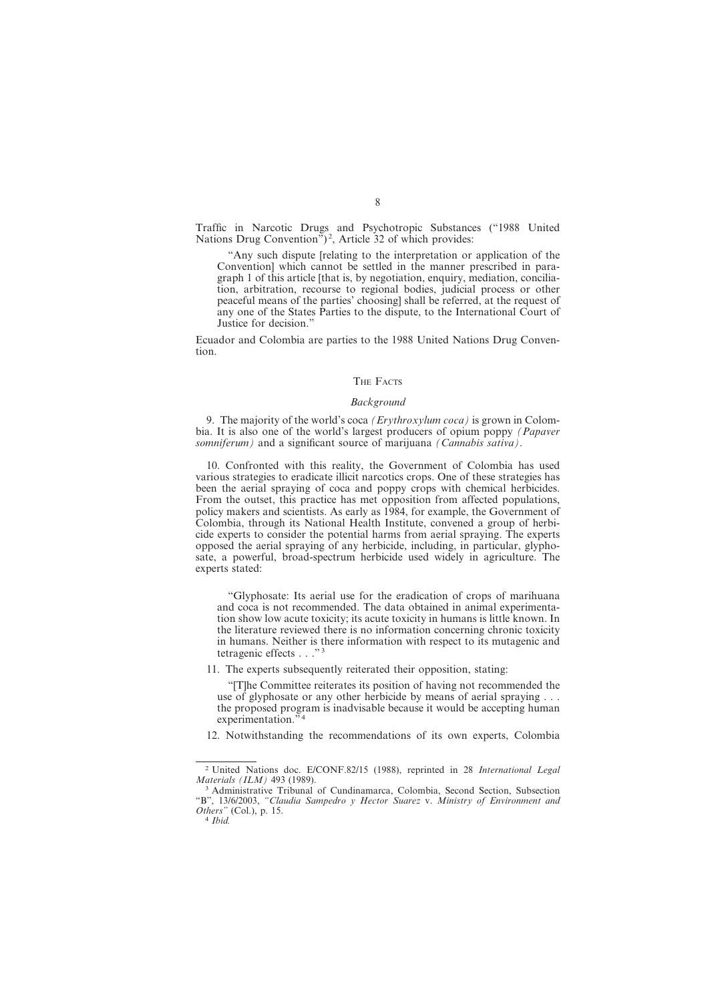Traffic in Narcotic Drugs and Psychotropic Substances ("1988 United Nations Drug Convention<sup>7</sup>)<sup>2</sup>, Article 32 of which provides:

"Any such dispute [relating to the interpretation or application of the Convention] which cannot be settled in the manner prescribed in paragraph 1 of this article [that is, by negotiation, enquiry, mediation, conciliation, arbitration, recourse to regional bodies, judicial process or other peaceful means of the parties' choosing] shall be referred, at the request of any one of the States Parties to the dispute, to the International Court of Justice for decision.'

Ecuador and Colombia are parties to the 1988 United Nations Drug Convention.

#### THE FACTS

#### *Background*

9. The majority of the world's coca *(Erythroxylum coca)* is grown in Colombia. It is also one of the world's largest producers of opium poppy *(Papaver somniferum)* and a significant source of marijuana *(Cannabis sativa)*.

10. Confronted with this reality, the Government of Colombia has used various strategies to eradicate illicit narcotics crops. One of these strategies has been the aerial spraying of coca and poppy crops with chemical herbicides. From the outset, this practice has met opposition from affected populations, policy makers and scientists. As early as 1984, for example, the Government of Colombia, through its National Health Institute, convened a group of herbicide experts to consider the potential harms from aerial spraying. The experts opposed the aerial spraying of any herbicide, including, in particular, glyphosate, a powerful, broad-spectrum herbicide used widely in agriculture. The experts stated:

"Glyphosate: Its aerial use for the eradication of crops of marihuana and coca is not recommended. The data obtained in animal experimentation show low acute toxicity; its acute toxicity in humans is little known. In the literature reviewed there is no information concerning chronic toxicity in humans. Neither is there information with respect to its mutagenic and tetragenic effects . . ."

11. The experts subsequently reiterated their opposition, stating:

"[T]he Committee reiterates its position of having not recommended the use of glyphosate or any other herbicide by means of aerial spraying... the proposed program is inadvisable because it would be accepting human experimentation.

12. Notwithstanding the recommendations of its own experts, Colombia

<sup>2</sup> United Nations doc. E/CONF.82/15 (1988), reprinted in 28 *International Legal*

<sup>&</sup>lt;sup>3</sup> Administrative Tribunal of Cundinamarca, Colombia, Second Section, Subsection "B", 13/6/2003, *"Claudia Sampedro y Hector Suarez* v. *Ministry of Environment and Others"* (Col.), p. 15. <sup>4</sup> *Ibid.*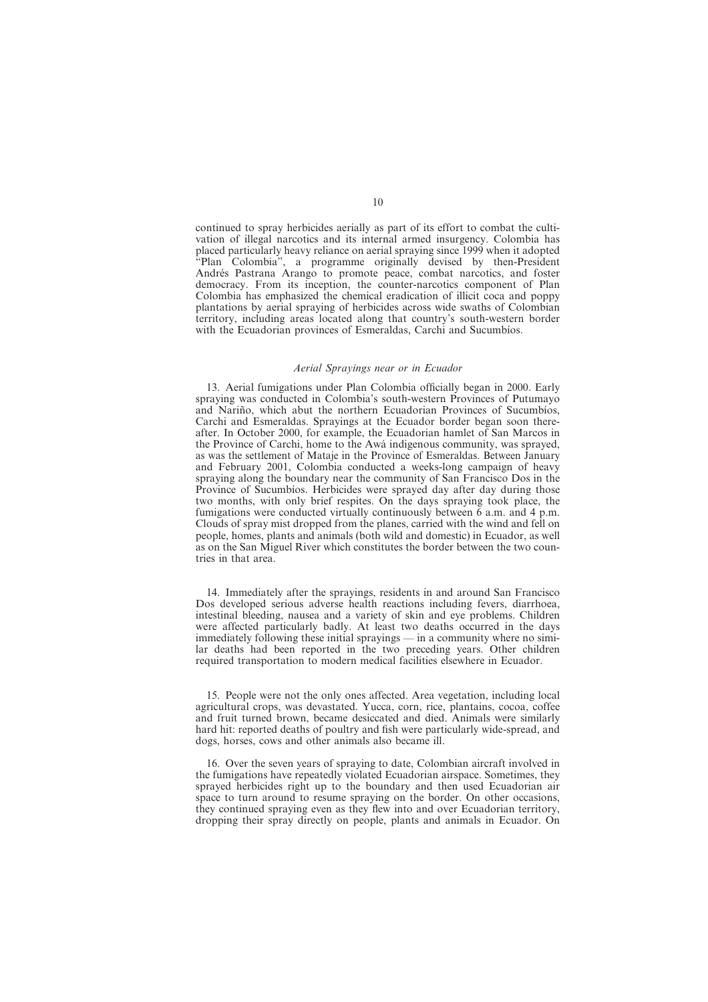continued to spray herbicides aerially as part of its effort to combat the cultivation of illegal narcotics and its internal armed insurgency. Colombia has placed particularly heavy reliance on aerial spraying since 1999 when it adopted "Plan Colombia", a programme originally devised by then-President Andrés Pastrana Arango to promote peace, combat narcotics, and foster democracy. From its inception, the counter-narcotics component of Plan Colombia has emphasized the chemical eradication of illicit coca and poppy plantations by aerial spraying of herbicides across wide swaths of Colombian territory, including areas located along that country's south-western border with the Ecuadorian provinces of Esmeraldas, Carchi and Sucumbíos.

#### *Aerial Sprayings near or in Ecuador*

13. Aerial fumigations under Plan Colombia officially began in 2000. Early spraying was conducted in Colombia's south-western Provinces of Putumayo and Nariño, which abut the northern Ecuadorian Provinces of Sucumbíos, Carchi and Esmeraldas. Sprayings at the Ecuador border began soon thereafter. In October 2000, for example, the Ecuadorian hamlet of San Marcos in the Province of Carchi, home to the Awá indigenous community, was sprayed, as was the settlement of Mataje in the Province of Esmeraldas. Between January and February 2001, Colombia conducted a weeks-long campaign of heavy spraying along the boundary near the community of San Francisco Dos in the Province of Sucumbíos. Herbicides were sprayed day after day during those two months, with only brief respites. On the days spraying took place, the fumigations were conducted virtually continuously between 6 a.m. and 4 p.m. Clouds of spray mist dropped from the planes, carried with the wind and fell on people, homes, plants and animals (both wild and domestic) in Ecuador, as well as on the San Miguel River which constitutes the border between the two countries in that area.

14. Immediately after the sprayings, residents in and around San Francisco Dos developed serious adverse health reactions including fevers, diarrhoea, intestinal bleeding, nausea and a variety of skin and eye problems. Children were affected particularly badly. At least two deaths occurred in the days immediately following these initial sprayings — in a community where no similar deaths had been reported in the two preceding years. Other children required transportation to modern medical facilities elsewhere in Ecuador.

15. People were not the only ones affected. Area vegetation, including local agricultural crops, was devastated. Yucca, corn, rice, plantains, cocoa, coffee and fruit turned brown, became desiccated and died. Animals were similarly hard hit: reported deaths of poultry and fish were particularly wide-spread, and dogs, horses, cows and other animals also became ill.

16. Over the seven years of spraying to date, Colombian aircraft involved in the fumigations have repeatedly violated Ecuadorian airspace. Sometimes, they sprayed herbicides right up to the boundary and then used Ecuadorian air space to turn around to resume spraying on the border. On other occasions, they continued spraying even as they flew into and over Ecuadorian territory, dropping their spray directly on people, plants and animals in Ecuador. On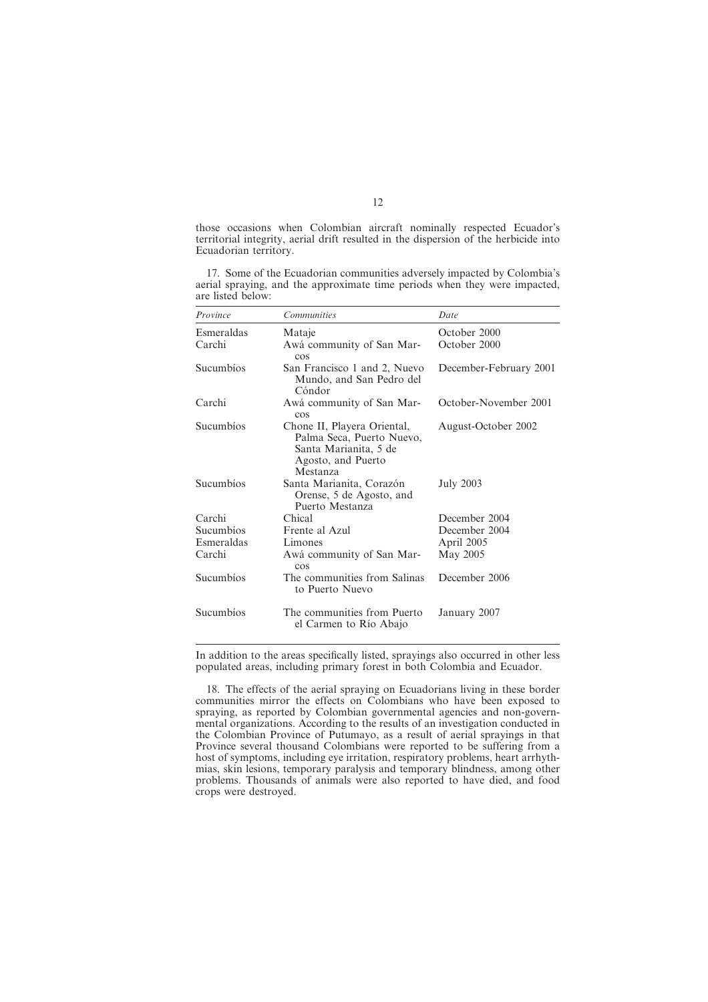those occasions when Colombian aircraft nominally respected Ecuador's territorial integrity, aerial drift resulted in the dispersion of the herbicide into Ecuadorian territory.

17. Some of the Ecuadorian communities adversely impacted by Colombia's aerial spraying, and the approximate time periods when they were impacted, are listed below:

| Province   | Communities                                                                                                         | Date                   |
|------------|---------------------------------------------------------------------------------------------------------------------|------------------------|
| Esmeraldas | Mataje                                                                                                              | October 2000           |
| Carchi     | Awá community of San Mar-<br>cos                                                                                    | October 2000           |
| Sucumbios  | San Francisco 1 and 2, Nuevo<br>Mundo, and San Pedro del<br>Cóndor                                                  | December-February 2001 |
| Carchi     | Awá community of San Mar-<br>cos                                                                                    | October-November 2001  |
| Sucumbios  | Chone II, Playera Oriental,<br>Palma Seca, Puerto Nuevo,<br>Santa Marianita, 5 de<br>Agosto, and Puerto<br>Mestanza | August-October 2002    |
| Sucumbios  | Santa Marianita, Corazón<br>Orense, 5 de Agosto, and<br>Puerto Mestanza                                             | <b>July 2003</b>       |
| Carchi     | Chical                                                                                                              | December 2004          |
| Sucumbios  | Frente al Azul                                                                                                      | December 2004          |
| Esmeraldas | Limones                                                                                                             | April 2005             |
| Carchi     | Awá community of San Mar-<br>cos                                                                                    | May 2005               |
| Sucumbios  | The communities from Salinas<br>to Puerto Nuevo                                                                     | December 2006          |
| Sucumbios  | The communities from Puerto<br>el Carmen to Río Abajo                                                               | January 2007           |

In addition to the areas specifically listed, sprayings also occurred in other less populated areas, including primary forest in both Colombia and Ecuador.

18. The effects of the aerial spraying on Ecuadorians living in these border communities mirror the effects on Colombians who have been exposed to spraying, as reported by Colombian governmental agencies and non-governmental organizations. According to the results of an investigation conducted in the Colombian Province of Putumayo, as a result of aerial sprayings in that Province several thousand Colombians were reported to be suffering from a host of symptoms, including eye irritation, respiratory problems, heart arrhythmias, skin lesions, temporary paralysis and temporary blindness, among other problems. Thousands of animals were also reported to have died, and food crops were destroyed.

12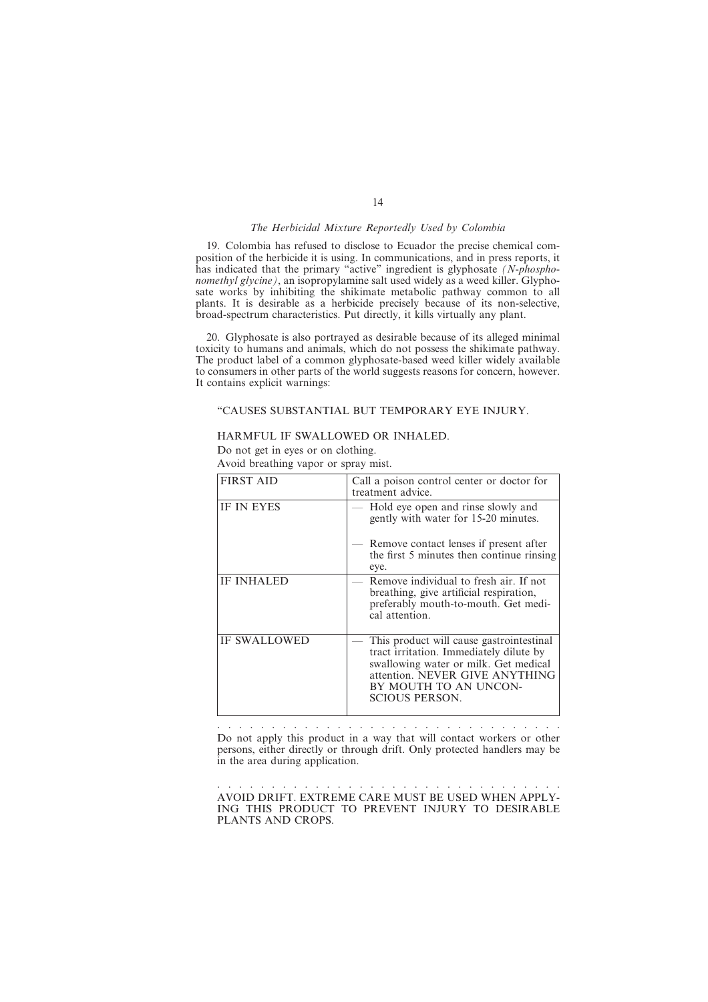#### *The Herbicidal Mixture Reportedly Used by Colombia*

19. Colombia has refused to disclose to Ecuador the precise chemical composition of the herbicide it is using. In communications, and in press reports, it has indicated that the primary "active" ingredient is glyphosate *(N-phosphonomethyl glycine*), an isopropylamine salt used widely as a weed killer. Glyphosate works by inhibiting the shikimate metabolic pathway common to all plants. It is desirable as a herbicide precisely because of its non-selective, broad-spectrum characteristics. Put directly, it kills virtually any plant.

20. Glyphosate is also portrayed as desirable because of its alleged minimal toxicity to humans and animals, which do not possess the shikimate pathway. The product label of a common glyphosate-based weed killer widely available to consumers in other parts of the world suggests reasons for concern, however. It contains explicit warnings:

#### "CAUSES SUBSTANTIAL BUT TEMPORARY EYE INJURY.

#### HARMFUL IF SWALLOWED OR INHALED.

Do not get in eyes or on clothing.

Avoid breathing vapor or spray mist.

| <b>FIRST AID</b>    | Call a poison control center or doctor for<br>treatment advice.                                                                                                                                                  |
|---------------------|------------------------------------------------------------------------------------------------------------------------------------------------------------------------------------------------------------------|
| IF IN EYES          | Hold eye open and rinse slowly and<br>gently with water for 15-20 minutes.                                                                                                                                       |
|                     | Remove contact lenses if present after<br>the first 5 minutes then continue rinsing<br>eye.                                                                                                                      |
| <b>IF INHALED</b>   | Remove individual to fresh air. If not<br>breathing, give artificial respiration,<br>preferably mouth-to-mouth. Get medi-<br>cal attention.                                                                      |
| <b>IF SWALLOWED</b> | This product will cause gastrointestinal<br>tract irritation. Immediately dilute by<br>swallowing water or milk. Get medical<br>attention. NEVER GIVE ANYTHING<br>BY MOUTH TO AN UNCON-<br><b>SCIOUS PERSON.</b> |

................................ Do not apply this product in a way that will contact workers or other persons, either directly or through drift. Only protected handlers may be in the area during application.

................................ AVOID DRIFT. EXTREME CARE MUST BE USED WHEN APPLY-ING THIS PRODUCT TO PREVENT INJURY TO DESIRABLE PLANTS AND CROPS.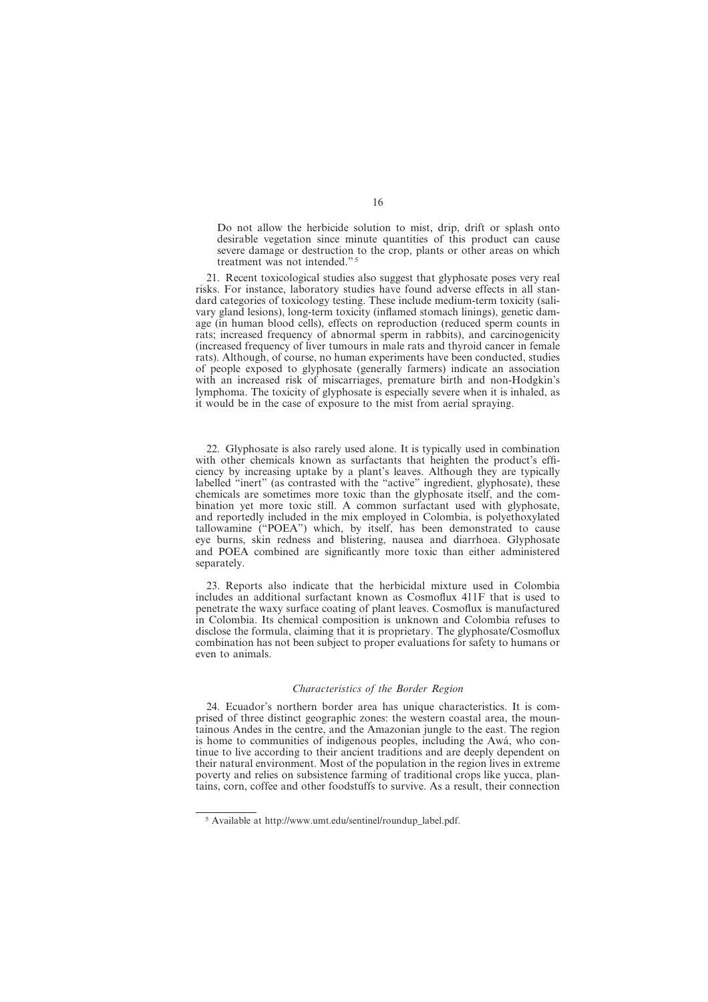Do not allow the herbicide solution to mist, drip, drift or splash onto desirable vegetation since minute quantities of this product can cause severe damage or destruction to the crop, plants or other areas on which treatment was not intended."<sup>5</sup>

21. Recent toxicological studies also suggest that glyphosate poses very real risks. For instance, laboratory studies have found adverse effects in all standard categories of toxicology testing. These include medium-term toxicity (salivary gland lesions), long-term toxicity (inflamed stomach linings), genetic damage (in human blood cells), effects on reproduction (reduced sperm counts in rats; increased frequency of abnormal sperm in rabbits), and carcinogenicity (increased frequency of liver tumours in male rats and thyroid cancer in female rats). Although, of course, no human experiments have been conducted, studies of people exposed to glyphosate (generally farmers) indicate an association with an increased risk of miscarriages, premature birth and non-Hodgkin's lymphoma. The toxicity of glyphosate is especially severe when it is inhaled, as it would be in the case of exposure to the mist from aerial spraying.

22. Glyphosate is also rarely used alone. It is typically used in combination with other chemicals known as surfactants that heighten the product's efficiency by increasing uptake by a plant's leaves. Although they are typically labelled "inert" (as contrasted with the "active" ingredient, glyphosate), these chemicals are sometimes more toxic than the glyphosate itself, and the combination yet more toxic still. A common surfactant used with glyphosate, and reportedly included in the mix employed in Colombia, is polyethoxylated tallowamine ("POEA") which, by itself, has been demonstrated to cause eye burns, skin redness and blistering, nausea and diarrhoea. Glyphosate and POEA combined are significantly more toxic than either administered separately.

23. Reports also indicate that the herbicidal mixture used in Colombia includes an additional surfactant known as Cosmoflux 411F that is used to penetrate the waxy surface coating of plant leaves. Cosmoflux is manufactured in Colombia. Its chemical composition is unknown and Colombia refuses to disclose the formula, claiming that it is proprietary. The glyphosate/Cosmoflux combination has not been subject to proper evaluations for safety to humans or even to animals.

#### *Characteristics of the Border Region*

24. Ecuador's northern border area has unique characteristics. It is comprised of three distinct geographic zones: the western coastal area, the mountainous Andes in the centre, and the Amazonian jungle to the east. The region is home to communities of indigenous peoples, including the Awá, who continue to live according to their ancient traditions and are deeply dependent on their natural environment. Most of the population in the region lives in extreme poverty and relies on subsistence farming of traditional crops like yucca, plantains, corn, coffee and other foodstuffs to survive. As a result, their connection

<sup>5</sup> Available at http://www.umt.edu/sentinel/roundup\_label.pdf.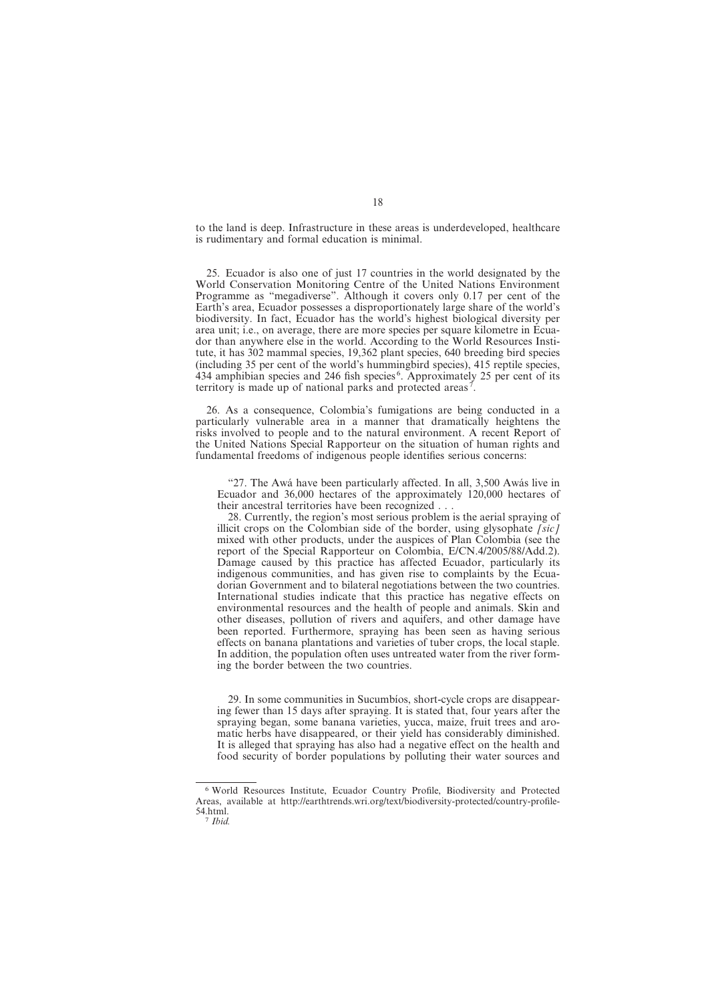to the land is deep. Infrastructure in these areas is underdeveloped, healthcare is rudimentary and formal education is minimal.

25. Ecuador is also one of just 17 countries in the world designated by the World Conservation Monitoring Centre of the United Nations Environment Programme as "megadiverse". Although it covers only 0.17 per cent of the Earth's area, Ecuador possesses a disproportionately large share of the world's biodiversity. In fact, Ecuador has the world's highest biological diversity per area unit; i.e., on average, there are more species per square kilometre in Ecuador than anywhere else in the world. According to the World Resources Institute, it has 302 mammal species, 19,362 plant species, 640 breeding bird species (including 35 per cent of the world's hummingbird species), 415 reptile species, 434 amphibian species and 246 fish species <sup>6</sup> . Approximately 25 per cent of its territory is made up of national parks and protected areas<sup>7</sup>.

26. As a consequence, Colombia's fumigations are being conducted in a particularly vulnerable area in a manner that dramatically heightens the risks involved to people and to the natural environment. A recent Report of the United Nations Special Rapporteur on the situation of human rights and fundamental freedoms of indigenous people identifies serious concerns:

"27. The Awá have been particularly affected. In all, 3,500 Awás live in Ecuador and 36,000 hectares of the approximately 120,000 hectares of their ancestral territories have been recognized...

28. Currently, the region's most serious problem is the aerial spraying of illicit crops on the Colombian side of the border, using glysophate *[sic]* mixed with other products, under the auspices of Plan Colombia (see the report of the Special Rapporteur on Colombia, E/CN.4/2005/88/Add.2). Damage caused by this practice has affected Ecuador, particularly its indigenous communities, and has given rise to complaints by the Ecuadorian Government and to bilateral negotiations between the two countries. International studies indicate that this practice has negative effects on environmental resources and the health of people and animals. Skin and other diseases, pollution of rivers and aquifers, and other damage have been reported. Furthermore, spraying has been seen as having serious effects on banana plantations and varieties of tuber crops, the local staple. In addition, the population often uses untreated water from the river forming the border between the two countries.

29. In some communities in Sucumbíos, short-cycle crops are disappearing fewer than 15 days after spraying. It is stated that, four years after the spraying began, some banana varieties, yucca, maize, fruit trees and aromatic herbs have disappeared, or their yield has considerably diminished. It is alleged that spraying has also had a negative effect on the health and food security of border populations by polluting their water sources and

<sup>6</sup> World Resources Institute, Ecuador Country Profile, Biodiversity and Protected Areas, available at http://earthtrends.wri.org/text/biodiversity-protected/country-profile-54.html. <sup>7</sup> *Ibid.*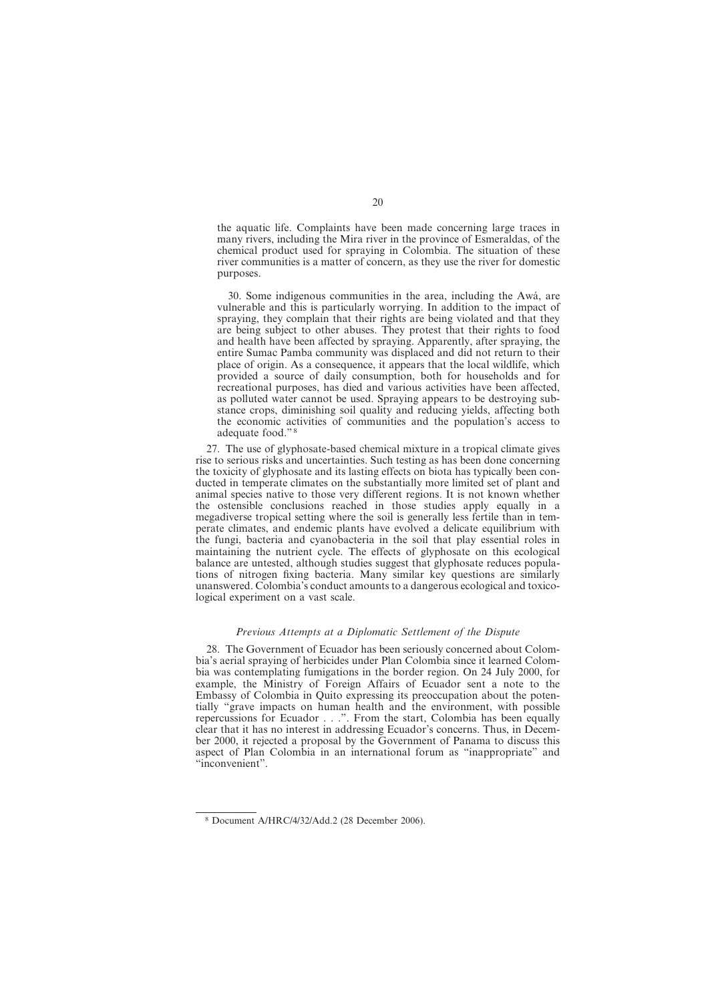the aquatic life. Complaints have been made concerning large traces in many rivers, including the Mira river in the province of Esmeraldas, of the chemical product used for spraying in Colombia. The situation of these river communities is a matter of concern, as they use the river for domestic purposes.

30. Some indigenous communities in the area, including the Awá, are vulnerable and this is particularly worrying. In addition to the impact of spraying, they complain that their rights are being violated and that they are being subject to other abuses. They protest that their rights to food and health have been affected by spraying. Apparently, after spraying, the entire Sumac Pamba community was displaced and did not return to their place of origin. As a consequence, it appears that the local wildlife, which provided a source of daily consumption, both for households and for recreational purposes, has died and various activities have been affected, as polluted water cannot be used. Spraying appears to be destroying substance crops, diminishing soil quality and reducing yields, affecting both the economic activities of communities and the population's access to adequate food."<sup>8</sup>

27. The use of glyphosate-based chemical mixture in a tropical climate gives rise to serious risks and uncertainties. Such testing as has been done concerning the toxicity of glyphosate and its lasting effects on biota has typically been conducted in temperate climates on the substantially more limited set of plant and animal species native to those very different regions. It is not known whether the ostensible conclusions reached in those studies apply equally in a megadiverse tropical setting where the soil is generally less fertile than in temperate climates, and endemic plants have evolved a delicate equilibrium with the fungi, bacteria and cyanobacteria in the soil that play essential roles in maintaining the nutrient cycle. The effects of glyphosate on this ecological balance are untested, although studies suggest that glyphosate reduces populations of nitrogen fixing bacteria. Many similar key questions are similarly unanswered. Colombia's conduct amounts to a dangerous ecological and toxicological experiment on a vast scale.

#### *Previous Attempts at a Diplomatic Settlement of the Dispute*

28. The Government of Ecuador has been seriously concerned about Colombia's aerial spraying of herbicides under Plan Colombia since it learned Colombia was contemplating fumigations in the border region. On 24 July 2000, for example, the Ministry of Foreign Affairs of Ecuador sent a note to the Embassy of Colombia in Quito expressing its preoccupation about the potentially "grave impacts on human health and the environment, with possible repercussions for Ecuador . . .". From the start, Colombia has been equally clear that it has no interest in addressing Ecuador's concerns. Thus, in December 2000, it rejected a proposal by the Government of Panama to discuss this aspect of Plan Colombia in an international forum as "inappropriate" and "inconvenient".

<sup>8</sup> Document A/HRC/4/32/Add.2 (28 December 2006).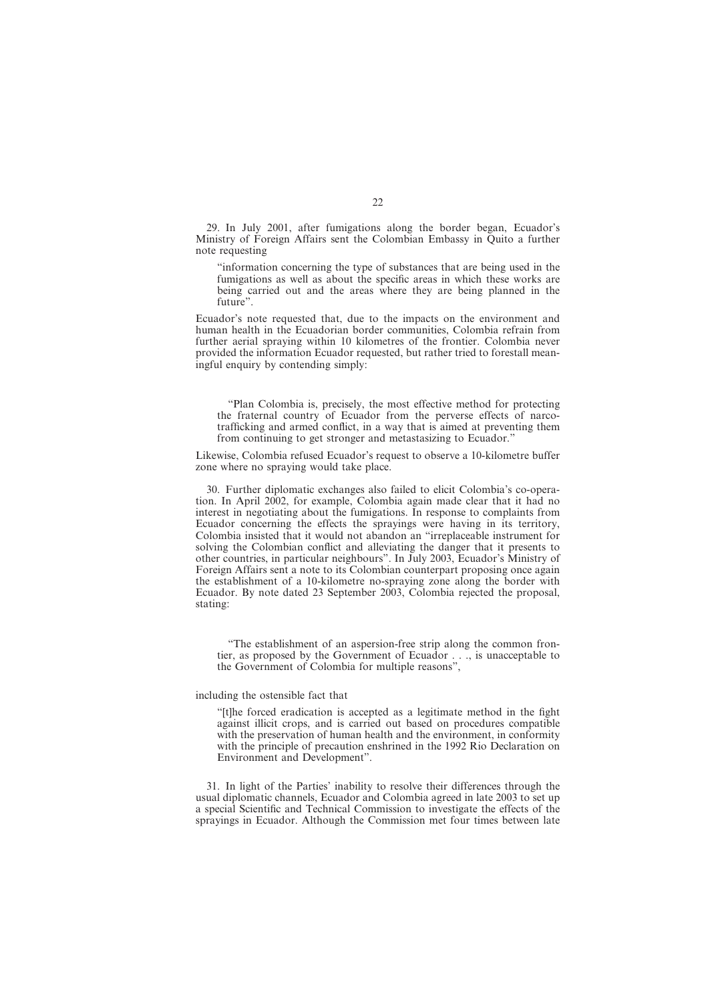29. In July 2001, after fumigations along the border began, Ecuador's Ministry of Foreign Affairs sent the Colombian Embassy in Quito a further note requesting

"information concerning the type of substances that are being used in the fumigations as well as about the specific areas in which these works are being carried out and the areas where they are being planned in the future".

Ecuador's note requested that, due to the impacts on the environment and human health in the Ecuadorian border communities, Colombia refrain from further aerial spraying within 10 kilometres of the frontier. Colombia never provided the information Ecuador requested, but rather tried to forestall meaningful enquiry by contending simply:

"Plan Colombia is, precisely, the most effective method for protecting the fraternal country of Ecuador from the perverse effects of narcotrafficking and armed conflict, in a way that is aimed at preventing them from continuing to get stronger and metastasizing to Ecuador."

Likewise, Colombia refused Ecuador's request to observe a 10-kilometre buffer zone where no spraying would take place.

30. Further diplomatic exchanges also failed to elicit Colombia's co-operation. In April 2002, for example, Colombia again made clear that it had no interest in negotiating about the fumigations. In response to complaints from Ecuador concerning the effects the sprayings were having in its territory, Colombia insisted that it would not abandon an "irreplaceable instrument for solving the Colombian conflict and alleviating the danger that it presents to other countries, in particular neighbours". In July 2003, Ecuador's Ministry of Foreign Affairs sent a note to its Colombian counterpart proposing once again the establishment of a 10-kilometre no-spraying zone along the border with Ecuador. By note dated 23 September 2003, Colombia rejected the proposal, stating:

"The establishment of an aspersion-free strip along the common frontier, as proposed by the Government of Ecuador . . ., is unacceptable to the Government of Colombia for multiple reasons",

#### including the ostensible fact that

"[t]he forced eradication is accepted as a legitimate method in the fight against illicit crops, and is carried out based on procedures compatible with the preservation of human health and the environment, in conformity with the principle of precaution enshrined in the 1992 Rio Declaration on Environment and Development".

31. In light of the Parties' inability to resolve their differences through the usual diplomatic channels, Ecuador and Colombia agreed in late 2003 to set up a special Scientific and Technical Commission to investigate the effects of the sprayings in Ecuador. Although the Commission met four times between late

 $22$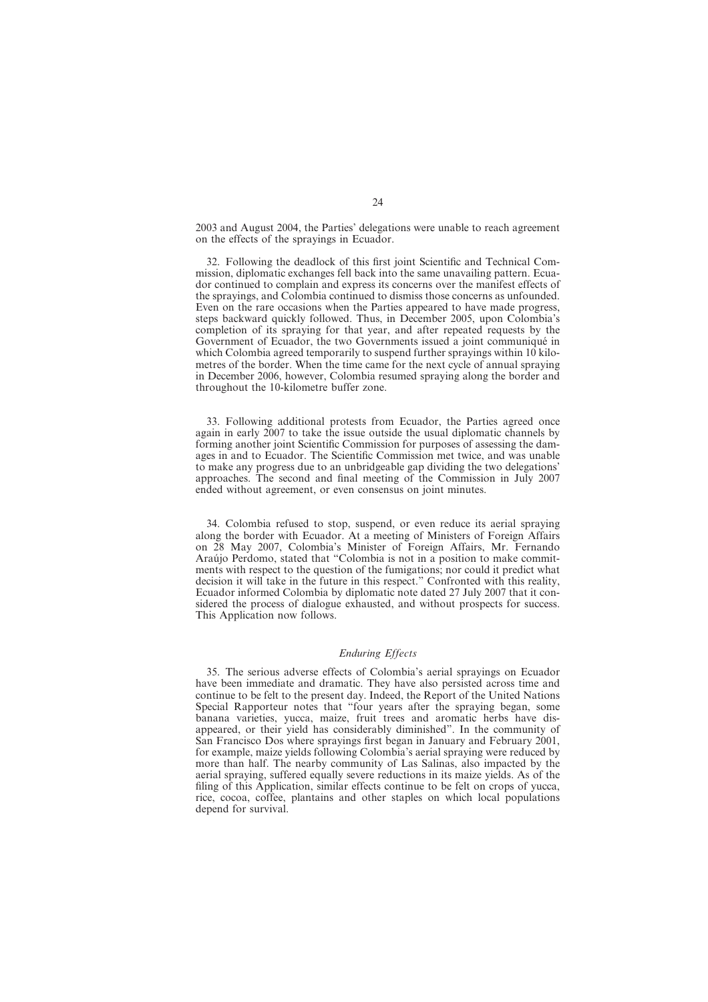2003 and August 2004, the Parties' delegations were unable to reach agreement on the effects of the sprayings in Ecuador.

32. Following the deadlock of this first joint Scientific and Technical Commission, diplomatic exchanges fell back into the same unavailing pattern. Ecuador continued to complain and express its concerns over the manifest effects of the sprayings, and Colombia continued to dismiss those concerns as unfounded. Even on the rare occasions when the Parties appeared to have made progress, steps backward quickly followed. Thus, in December 2005, upon Colombia's completion of its spraying for that year, and after repeated requests by the Government of Ecuador, the two Governments issued a joint communiqué in which Colombia agreed temporarily to suspend further sprayings within 10 kilometres of the border. When the time came for the next cycle of annual spraying in December 2006, however, Colombia resumed spraying along the border and throughout the 10-kilometre buffer zone.

33. Following additional protests from Ecuador, the Parties agreed once again in early 2007 to take the issue outside the usual diplomatic channels by forming another joint Scientific Commission for purposes of assessing the damages in and to Ecuador. The Scientific Commission met twice, and was unable to make any progress due to an unbridgeable gap dividing the two delegations' approaches. The second and final meeting of the Commission in July 2007 ended without agreement, or even consensus on joint minutes.

34. Colombia refused to stop, suspend, or even reduce its aerial spraying along the border with Ecuador. At a meeting of Ministers of Foreign Affairs on 28 May 2007, Colombia's Minister of Foreign Affairs, Mr. Fernando Araújo Perdomo, stated that "Colombia is not in a position to make commitments with respect to the question of the fumigations; nor could it predict what decision it will take in the future in this respect." Confronted with this reality, Ecuador informed Colombia by diplomatic note dated 27 July 2007 that it considered the process of dialogue exhausted, and without prospects for success. This Application now follows.

#### *Enduring Effects*

35. The serious adverse effects of Colombia's aerial sprayings on Ecuador have been immediate and dramatic. They have also persisted across time and continue to be felt to the present day. Indeed, the Report of the United Nations Special Rapporteur notes that "four years after the spraying began, some banana varieties, yucca, maize, fruit trees and aromatic herbs have disappeared, or their yield has considerably diminished". In the community of San Francisco Dos where sprayings first began in January and February 2001, for example, maize yields following Colombia's aerial spraying were reduced by more than half. The nearby community of Las Salinas, also impacted by the aerial spraying, suffered equally severe reductions in its maize yields. As of the filing of this Application, similar effects continue to be felt on crops of yucca, rice, cocoa, coffee, plantains and other staples on which local populations depend for survival.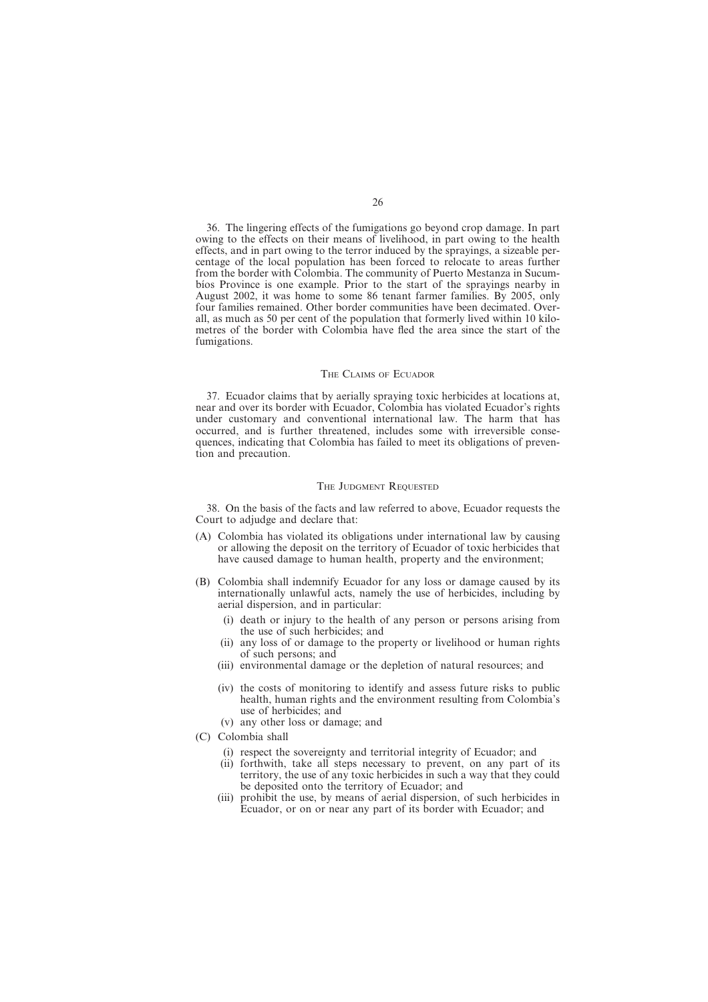36. The lingering effects of the fumigations go beyond crop damage. In part owing to the effects on their means of livelihood, in part owing to the health effects, and in part owing to the terror induced by the sprayings, a sizeable percentage of the local population has been forced to relocate to areas further from the border with Colombia. The community of Puerto Mestanza in Sucumbíos Province is one example. Prior to the start of the sprayings nearby in August 2002, it was home to some 86 tenant farmer families. By 2005, only four families remained. Other border communities have been decimated. Overall, as much as 50 per cent of the population that formerly lived within 10 kilometres of the border with Colombia have fled the area since the start of the fumigations.

#### THE CLAIMS OF ECUADOR

37. Ecuador claims that by aerially spraying toxic herbicides at locations at, near and over its border with Ecuador, Colombia has violated Ecuador's rights under customary and conventional international law. The harm that has occurred, and is further threatened, includes some with irreversible consequences, indicating that Colombia has failed to meet its obligations of prevention and precaution.

#### THE JUDGMENT REQUESTED

38. On the basis of the facts and law referred to above, Ecuador requests the Court to adjudge and declare that:

- (A) Colombia has violated its obligations under international law by causing or allowing the deposit on the territory of Ecuador of toxic herbicides that have caused damage to human health, property and the environment;
- (B) Colombia shall indemnify Ecuador for any loss or damage caused by its internationally unlawful acts, namely the use of herbicides, including by aerial dispersion, and in particular:
	- (i) death or injury to the health of any person or persons arising from the use of such herbicides; and
	- (ii) any loss of or damage to the property or livelihood or human rights of such persons; and
	- (iii) environmental damage or the depletion of natural resources; and
	- (iv) the costs of monitoring to identify and assess future risks to public health, human rights and the environment resulting from Colombia's use of herbicides; and
	- (v) any other loss or damage; and
- (C) Colombia shall
	- (i) respect the sovereignty and territorial integrity of Ecuador; and
	- (ii) forthwith, take all steps necessary to prevent, on any part of its territory, the use of any toxic herbicides in such a way that they could be deposited onto the territory of Ecuador; and
	- (iii) prohibit the use, by means of aerial dispersion, of such herbicides in Ecuador, or on or near any part of its border with Ecuador; and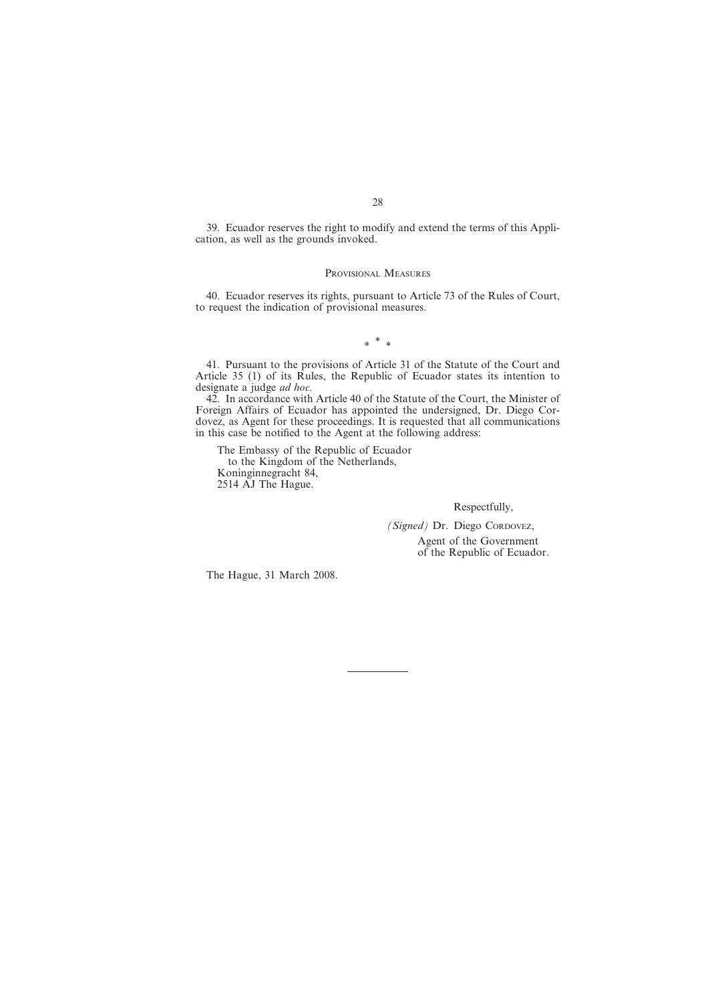39. Ecuador reserves the right to modify and extend the terms of this Application, as well as the grounds invoked.

#### PROVISIONAL MEASURES

40. Ecuador reserves its rights, pursuant to Article 73 of the Rules of Court, to request the indication of provisional measures.

\* \* \*

41. Pursuant to the provisions of Article 31 of the Statute of the Court and Article 35 (1) of its Rules, the Republic of Ecuador states its intention to designate a judge *ad hoc.*

42. In accordance with Article 40 of the Statute of the Court, the Minister of Foreign Affairs of Ecuador has appointed the undersigned, Dr. Diego Cordovez, as Agent for these proceedings. It is requested that all communications in this case be notified to the Agent at the following address:

The Embassy of the Republic of Ecuador to the Kingdom of the Netherlands, Koninginnegracht 84, 2514 AJ The Hague.

Respectfully,

*(Signed)* Dr. Diego CORDOVEZ, Agent of the Government of the Republic of Ecuador.

The Hague, 31 March 2008.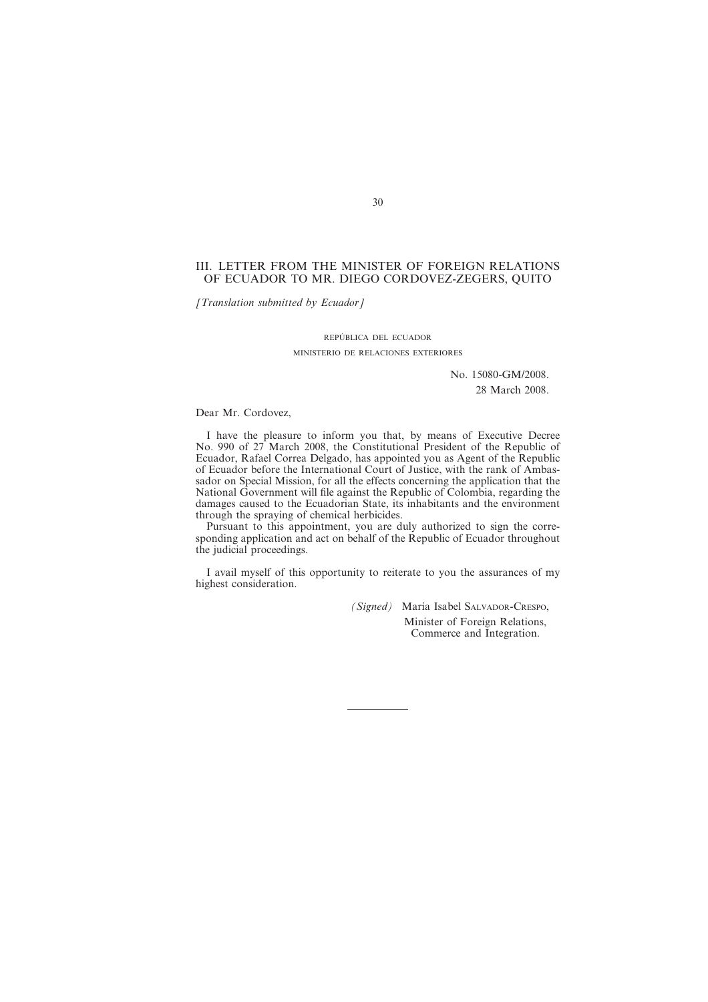#### III. LETTER FROM THE MINISTER OF FOREIGN RELATIONS OF ECUADOR TO MR. DIEGO CORDOVEZ-ZEGERS, QUITO

*[Translation submitted by Ecuador]*

REPÚBLICA DEL ECUADOR MINISTERIO DE RELACIONES EXTERIORES

No. 15080-GM/2008.

28 March 2008.

Dear Mr. Cordovez,

I have the pleasure to inform you that, by means of Executive Decree No. 990 of 27 March 2008, the Constitutional President of the Republic of Ecuador, Rafael Correa Delgado, has appointed you as Agent of the Republic of Ecuador before the International Court of Justice, with the rank of Ambassador on Special Mission, for all the effects concerning the application that the National Government will file against the Republic of Colombia, regarding the damages caused to the Ecuadorian State, its inhabitants and the environment through the spraying of chemical herbicides.

Pursuant to this appointment, you are duly authorized to sign the corresponding application and act on behalf of the Republic of Ecuador throughout the judicial proceedings.

I avail myself of this opportunity to reiterate to you the assurances of my highest consideration.

> *(Signed)* María Isabel SALVADOR-CRESPO, Minister of Foreign Relations, Commerce and Integration.